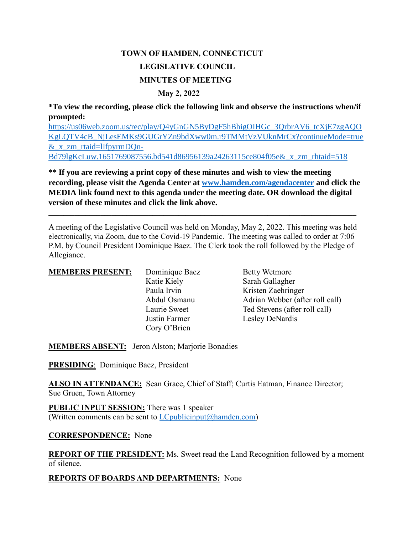# **TOWN OF HAMDEN, CONNECTICUT LEGISLATIVE COUNCIL MINUTES OF MEETING May 2, 2022**

**\*To view the recording, please click the following link and observe the instructions when/if prompted:**

[https://us06web.zoom.us/rec/play/Q4yGnGN5ByDgF5hBhigOIHGc\\_3QrbrAV6\\_tcXjE7zgAQO](https://us06web.zoom.us/rec/play/Q4yGnGN5ByDgF5hBhigOIHGc_3QrbrAV6_tcXjE7zgAQOKgLQTV4cB_NjLesEMKs9GUGrYZn9bdXww0m.r9TMMtVzVUknMrCx?continueMode=true&_x_zm_rtaid=lIfpyrmDQn-Bd79lgKcLuw.1651769087556.bd541d86956139a24263115ce804f05e&_x_zm_rhtaid=518) [KgLQTV4cB\\_NjLesEMKs9GUGrYZn9bdXww0m.r9TMMtVzVUknMrCx?continueMode=true](https://us06web.zoom.us/rec/play/Q4yGnGN5ByDgF5hBhigOIHGc_3QrbrAV6_tcXjE7zgAQOKgLQTV4cB_NjLesEMKs9GUGrYZn9bdXww0m.r9TMMtVzVUknMrCx?continueMode=true&_x_zm_rtaid=lIfpyrmDQn-Bd79lgKcLuw.1651769087556.bd541d86956139a24263115ce804f05e&_x_zm_rhtaid=518) [&\\_x\\_zm\\_rtaid=lIfpyrmDQn-](https://us06web.zoom.us/rec/play/Q4yGnGN5ByDgF5hBhigOIHGc_3QrbrAV6_tcXjE7zgAQOKgLQTV4cB_NjLesEMKs9GUGrYZn9bdXww0m.r9TMMtVzVUknMrCx?continueMode=true&_x_zm_rtaid=lIfpyrmDQn-Bd79lgKcLuw.1651769087556.bd541d86956139a24263115ce804f05e&_x_zm_rhtaid=518)[Bd79lgKcLuw.1651769087556.bd541d86956139a24263115ce804f05e&\\_x\\_zm\\_rhtaid=518](https://us06web.zoom.us/rec/play/Q4yGnGN5ByDgF5hBhigOIHGc_3QrbrAV6_tcXjE7zgAQOKgLQTV4cB_NjLesEMKs9GUGrYZn9bdXww0m.r9TMMtVzVUknMrCx?continueMode=true&_x_zm_rtaid=lIfpyrmDQn-Bd79lgKcLuw.1651769087556.bd541d86956139a24263115ce804f05e&_x_zm_rhtaid=518)

**\*\* If you are reviewing a print copy of these minutes and wish to view the meeting recording, please visit the Agenda Center at [www.hamden.com/agendacenter](http://www.hamden.com/agendacenter) and click the MEDIA link found next to this agenda under the meeting date. OR download the digital version of these minutes and click the link above.**

A meeting of the Legislative Council was held on Monday, May 2, 2022. This meeting was held electronically, via Zoom, due to the Covid-19 Pandemic. The meeting was called to order at 7:06 P.M. by Council President Dominique Baez. The Clerk took the roll followed by the Pledge of Allegiance.

**\_\_\_\_\_\_\_\_\_\_\_\_\_\_\_\_\_\_\_\_\_\_\_\_\_\_\_\_\_\_\_\_\_\_\_\_\_\_\_\_\_\_\_\_\_\_\_\_\_\_\_\_\_\_\_\_\_\_\_\_\_\_\_\_\_\_\_\_\_\_\_\_\_\_\_\_\_\_\_\_\_\_\_**

| <b>MEMBERS PRESENT:</b> | Dominique Baez | <b>Betty Wetmore</b>            |
|-------------------------|----------------|---------------------------------|
|                         | Katie Kiely    | Sarah Gallagher                 |
|                         | Paula Irvin    | Kristen Zaehringer              |
|                         | Abdul Osmanu   | Adrian Webber (after roll call) |
|                         | Laurie Sweet   | Ted Stevens (after roll call)   |
|                         | Justin Farmer  | Lesley DeNardis                 |
|                         | Cory O'Brien   |                                 |

**MEMBERS ABSENT:** Jeron Alston; Marjorie Bonadies

**PRESIDING**: Dominique Baez, President

**ALSO IN ATTENDANCE:** Sean Grace, Chief of Staff; Curtis Eatman, Finance Director; Sue Gruen, Town Attorney

**PUBLIC INPUT SESSION:** There was 1 speaker (Written comments can be sent to  $LC$  publicinput  $(a)$  hamden.com)

# **CORRESPONDENCE:** None

**REPORT OF THE PRESIDENT:** Ms. Sweet read the Land Recognition followed by a moment of silence.

# **REPORTS OF BOARDS AND DEPARTMENTS:** None